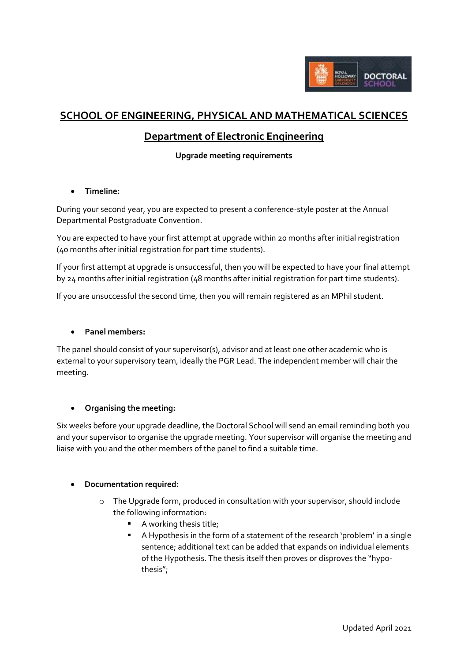

# **SCHOOL OF ENGINEERING, PHYSICAL AND MATHEMATICAL SCIENCES**

## **Department of Electronic Engineering**

#### **Upgrade meeting requirements**

### **Timeline:**

During your second year, you are expected to present a conference-style poster at the Annual Departmental Postgraduate Convention.

You are expected to have your first attempt at upgrade within 20 months after initial registration (40 months after initial registration for part time students).

If your first attempt at upgrade is unsuccessful, then you will be expected to have your final attempt by 24 months after initial registration (48 months after initial registration for part time students).

If you are unsuccessful the second time, then you will remain registered as an MPhil student.

#### **Panel members:**

The panel should consist of your supervisor(s), advisor and at least one other academic who is external to your supervisory team, ideally the PGR Lead. The independent member will chair the meeting.

## **Organising the meeting:**

Six weeks before your upgrade deadline, the Doctoral School will send an email reminding both you and your supervisor to organise the upgrade meeting. Your supervisor will organise the meeting and liaise with you and the other members of the panel to find a suitable time.

#### **Documentation required:**

- o The Upgrade form, produced in consultation with your supervisor, should include the following information:
	- **A** working thesis title;
	- A Hypothesis in the form of a statement of the research 'problem' in a single sentence; additional text can be added that expands on individual elements of the Hypothesis. The thesis itself then proves or disproves the "hypothesis";